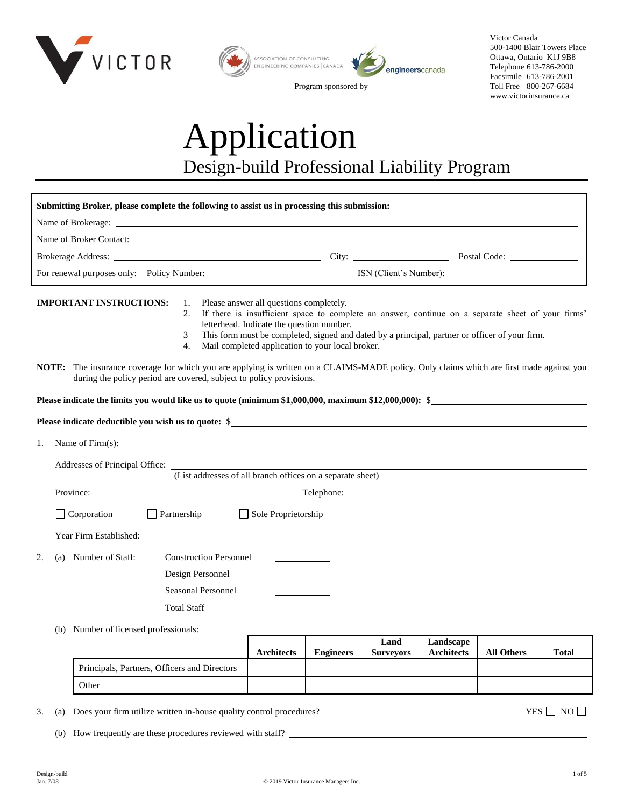

| ASSOCIATION OF CONSULTING<br>ENGINEERING COMPANIES CANADA | engineerscanada |
|-----------------------------------------------------------|-----------------|
| ∽                                                         |                 |

Program sponsored by

Victor Canada 500-1400 Blair Towers Place Ottawa, Ontario K1J 9B8 Telephone 613-786-2000 Facsimile 613-786-2001 Toll Free 800-267-6684 www.victorinsurance.ca

# Application Design-build Professional Liability Program

| Submitting Broker, please complete the following to assist us in processing this submission:                                                                                                      |                                                                                                                                                                                                                                                                                                                                                 |                  |                          |                                |                   |                      |
|---------------------------------------------------------------------------------------------------------------------------------------------------------------------------------------------------|-------------------------------------------------------------------------------------------------------------------------------------------------------------------------------------------------------------------------------------------------------------------------------------------------------------------------------------------------|------------------|--------------------------|--------------------------------|-------------------|----------------------|
|                                                                                                                                                                                                   |                                                                                                                                                                                                                                                                                                                                                 |                  |                          |                                |                   |                      |
|                                                                                                                                                                                                   |                                                                                                                                                                                                                                                                                                                                                 |                  |                          |                                |                   |                      |
|                                                                                                                                                                                                   |                                                                                                                                                                                                                                                                                                                                                 |                  |                          |                                |                   |                      |
|                                                                                                                                                                                                   |                                                                                                                                                                                                                                                                                                                                                 |                  |                          |                                |                   |                      |
| <b>IMPORTANT INSTRUCTIONS:</b><br>1.<br>2.<br>3<br>4.<br>NOTE: The insurance coverage for which you are applying is written on a CLAIMS-MADE policy. Only claims which are first made against you | Please answer all questions completely.<br>If there is insufficient space to complete an answer, continue on a separate sheet of your firms'<br>letterhead. Indicate the question number.<br>This form must be completed, signed and dated by a principal, partner or officer of your firm.<br>Mail completed application to your local broker. |                  |                          |                                |                   |                      |
| during the policy period are covered, subject to policy provisions.                                                                                                                               |                                                                                                                                                                                                                                                                                                                                                 |                  |                          |                                |                   |                      |
| Please indicate the limits you would like us to quote (minimum \$1,000,000, maximum \$12,000,000): \$                                                                                             |                                                                                                                                                                                                                                                                                                                                                 |                  |                          |                                |                   |                      |
| Please indicate deductible you wish us to quote: \$                                                                                                                                               |                                                                                                                                                                                                                                                                                                                                                 |                  |                          |                                |                   |                      |
| Name of Firm(s): $\qquad \qquad$<br>1.                                                                                                                                                            |                                                                                                                                                                                                                                                                                                                                                 |                  |                          |                                |                   |                      |
| (List addresses of all branch offices on a separate sheet)                                                                                                                                        |                                                                                                                                                                                                                                                                                                                                                 |                  |                          |                                |                   |                      |
|                                                                                                                                                                                                   |                                                                                                                                                                                                                                                                                                                                                 |                  |                          |                                |                   |                      |
| $\Box$ Corporation<br>$\Box$ Partnership                                                                                                                                                          | Sole Proprietorship                                                                                                                                                                                                                                                                                                                             |                  |                          |                                |                   |                      |
|                                                                                                                                                                                                   |                                                                                                                                                                                                                                                                                                                                                 |                  |                          |                                |                   |                      |
| 2.<br>(a) Number of Staff:<br><b>Construction Personnel</b><br>Design Personnel<br>Seasonal Personnel<br><b>Total Staff</b>                                                                       |                                                                                                                                                                                                                                                                                                                                                 |                  |                          |                                |                   |                      |
| Number of licensed professionals:<br>(b)                                                                                                                                                          |                                                                                                                                                                                                                                                                                                                                                 |                  |                          |                                |                   |                      |
|                                                                                                                                                                                                   | <b>Architects</b>                                                                                                                                                                                                                                                                                                                               | <b>Engineers</b> | Land<br><b>Surveyors</b> | Landscape<br><b>Architects</b> | <b>All Others</b> | <b>Total</b>         |
| Principals, Partners, Officers and Directors                                                                                                                                                      |                                                                                                                                                                                                                                                                                                                                                 |                  |                          |                                |                   |                      |
| Other                                                                                                                                                                                             |                                                                                                                                                                                                                                                                                                                                                 |                  |                          |                                |                   |                      |
| Does your firm utilize written in-house quality control procedures?<br>3.<br>(a)                                                                                                                  |                                                                                                                                                                                                                                                                                                                                                 |                  |                          |                                |                   | YES $\Box$ NO $\Box$ |

(b) How frequently are these procedures reviewed with staff?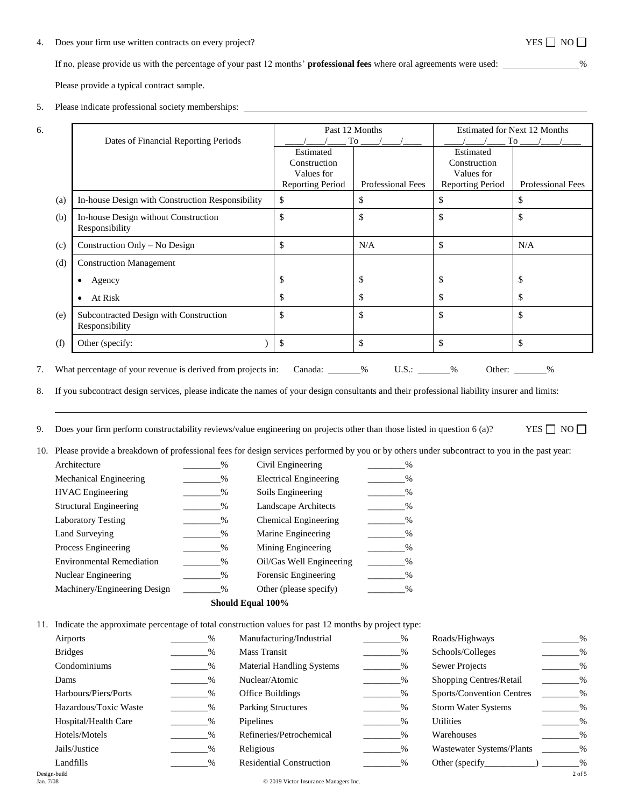## 4. Does your firm use written contracts on every project?  $YES \Box NO \Box$

If no, please provide us with the percentage of your past 12 months' **professional fees** where oral agreements were used: %

Please provide a typical contract sample.

6.

### 5. Please indicate professional society memberships:

#### Dates of Financial Reporting Periods Past 12 Months  $\frac{1}{\sqrt{2\pi}}$  To  $\frac{1}{\sqrt{2\pi}}$  To  $\frac{1}{\sqrt{2\pi}}$ Estimated for Next 12 Months  $\frac{1}{\sqrt{2\pi}}$  To  $\frac{1}{\sqrt{2\pi}}$  To  $\frac{1}{\sqrt{2\pi}}$ Estimated Construction Values for Reporting Period | Professional Fees Estimated Construction Values for Reporting Period Professional Fees (a) In-house Design with Construction Responsibility \$ \$ \$ \$ (b) In-house Design without Construction Responsibility \$ \$ \$ \$ (c) Construction Only – No Design \$ N/A \$ N/A (d) Construction Management Agency \$ \$ \$ \$ At Risk \$ \$ \$ \$ (e) Subcontracted Design with Construction Responsibility \$ \$ \$ \$ (f) Other (specify: ) \$ \$ \$ \$ 7. What percentage of your revenue is derived from projects in: Canada: \_\_\_\_\_\_% U.S.: \_\_\_\_\_\_% Other: \_\_\_\_\_\_%

8. If you subcontract design services, please indicate the names of your design consultants and their professional liability insurer and limits:

9. Does your firm perform constructability reviews/value engineering on projects other than those listed in question 6 (a)? YES  $\Box$  NO  $\Box$ 

10. Please provide a breakdown of professional fees for design services performed by you or by others under subcontract to you in the past year:

| Architecture                     | $\%$          | Civil Engineering             | $\frac{0}{0}$ |
|----------------------------------|---------------|-------------------------------|---------------|
| Mechanical Engineering           | $\%$          | <b>Electrical Engineering</b> | $\frac{0}{0}$ |
| <b>HVAC</b> Engineering          | $\%$          | Soils Engineering             | $\%$          |
| <b>Structural Engineering</b>    | $\frac{0}{0}$ | Landscape Architects          | %             |
| <b>Laboratory Testing</b>        | $\%$          | Chemical Engineering          | %             |
| Land Surveying                   | $\%$          | Marine Engineering            | $\frac{0}{0}$ |
| Process Engineering              | %             | Mining Engineering            | $\frac{0}{0}$ |
| <b>Environmental Remediation</b> | %             | Oil/Gas Well Engineering      | %             |
| Nuclear Engineering              | $\%$          | Forensic Engineering          | %             |
| Machinery/Engineering Design     | $\%$          | Other (please specify)        | $\%$          |

#### **Should Equal 100%**

11. Indicate the approximate percentage of total construction values for past 12 months by project type:

| Airports                  | $\%$ | Manufacturing/Industrial              | $\%$ | Roads/Highways             | $\%$       |
|---------------------------|------|---------------------------------------|------|----------------------------|------------|
| <b>Bridges</b>            | $\%$ | Mass Transit                          | %    | Schools/Colleges           | $\%$       |
| Condominiums              | $\%$ | <b>Material Handling Systems</b>      | $\%$ | <b>Sewer Projects</b>      | $\%$       |
| Dams                      | $\%$ | Nuclear/Atomic                        | $\%$ | Shopping Centres/Retail    | $\%$       |
| Harbours/Piers/Ports      | $\%$ | Office Buildings                      | %    | Sports/Convention Centres  | $\%$       |
| Hazardous/Toxic Waste     | $\%$ | <b>Parking Structures</b>             | %    | <b>Storm Water Systems</b> | $\%$       |
| Hospital/Health Care      | $\%$ | Pipelines                             | $\%$ | Utilities                  | $\%$       |
| Hotels/Motels             | $\%$ | Refineries/Petrochemical              | %    | Warehouses                 | $\%$       |
| Jails/Justice             | $\%$ | Religious                             | $\%$ | Wastewater Systems/Plants  | $\%$       |
| Landfills                 | $\%$ | <b>Residential Construction</b>       | $\%$ | Other (specify             | $\%$       |
| Design-build<br>Jan. 7/08 |      | © 2019 Victor Insurance Managers Inc. |      |                            | $2$ of $5$ |
|                           |      |                                       |      |                            |            |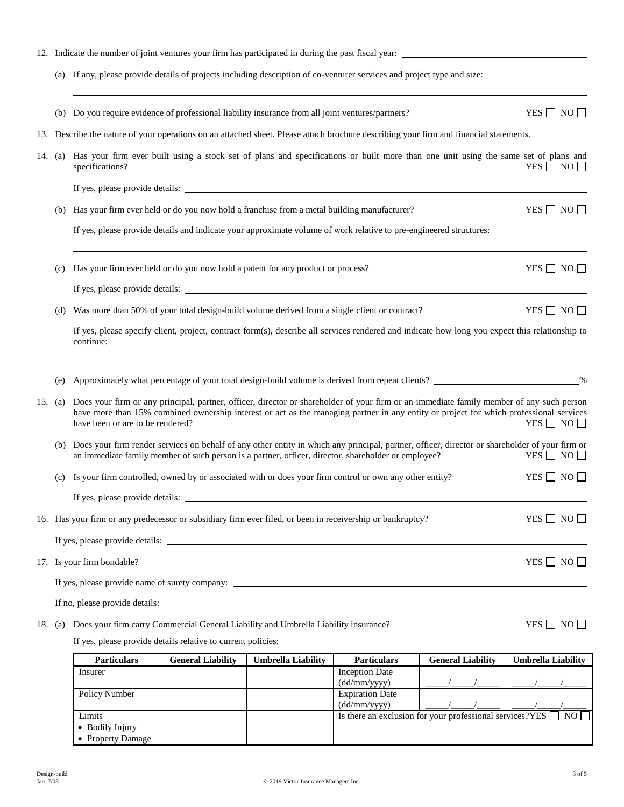|         |                                                                                                                                                                                      | 12. Indicate the number of joint ventures your firm has participated in during the past fiscal year:                                           |                                                                                                                                                                                                                                                                                    |                           |                                       |                          |                           |  |
|---------|--------------------------------------------------------------------------------------------------------------------------------------------------------------------------------------|------------------------------------------------------------------------------------------------------------------------------------------------|------------------------------------------------------------------------------------------------------------------------------------------------------------------------------------------------------------------------------------------------------------------------------------|---------------------------|---------------------------------------|--------------------------|---------------------------|--|
|         | (a) If any, please provide details of projects including description of co-venturer services and project type and size:                                                              |                                                                                                                                                |                                                                                                                                                                                                                                                                                    |                           |                                       |                          |                           |  |
|         | (b)                                                                                                                                                                                  | Do you require evidence of professional liability insurance from all joint ventures/partners?                                                  |                                                                                                                                                                                                                                                                                    |                           |                                       |                          | $YES \Box NO \Box$        |  |
| 13.     | Describe the nature of your operations on an attached sheet. Please attach brochure describing your firm and financial statements.                                                   |                                                                                                                                                |                                                                                                                                                                                                                                                                                    |                           |                                       |                          |                           |  |
| 14.     | Has your firm ever built using a stock set of plans and specifications or built more than one unit using the same set of plans and<br>(a)<br>YES $\Box$ NO $\Box$<br>specifications? |                                                                                                                                                |                                                                                                                                                                                                                                                                                    |                           |                                       |                          |                           |  |
|         |                                                                                                                                                                                      |                                                                                                                                                |                                                                                                                                                                                                                                                                                    |                           |                                       |                          |                           |  |
|         | (b)                                                                                                                                                                                  | Has your firm ever held or do you now hold a franchise from a metal building manufacturer?                                                     |                                                                                                                                                                                                                                                                                    |                           |                                       |                          | YES $\Box$ NO $\Box$      |  |
|         |                                                                                                                                                                                      |                                                                                                                                                | If yes, please provide details and indicate your approximate volume of work relative to pre-engineered structures:                                                                                                                                                                 |                           |                                       |                          |                           |  |
|         | (c)                                                                                                                                                                                  | Has your firm ever held or do you now hold a patent for any product or process?                                                                |                                                                                                                                                                                                                                                                                    |                           |                                       |                          | YES $\Box$ NO $\Box$      |  |
|         |                                                                                                                                                                                      |                                                                                                                                                |                                                                                                                                                                                                                                                                                    |                           |                                       |                          |                           |  |
|         | (d)                                                                                                                                                                                  | Was more than 50% of your total design-build volume derived from a single client or contract?                                                  |                                                                                                                                                                                                                                                                                    |                           |                                       |                          | YES $\Box$ NO $\Box$      |  |
|         |                                                                                                                                                                                      | continue:                                                                                                                                      | If yes, please specify client, project, contract form(s), describe all services rendered and indicate how long you expect this relationship to                                                                                                                                     |                           |                                       |                          |                           |  |
|         | (e)                                                                                                                                                                                  | Approximately what percentage of your total design-build volume is derived from repeat clients? _______________________%                       |                                                                                                                                                                                                                                                                                    |                           |                                       |                          |                           |  |
| 15. (a) |                                                                                                                                                                                      | have been or are to be rendered?                                                                                                               | Does your firm or any principal, partner, officer, director or shareholder of your firm or an immediate family member of any such person<br>have more than 15% combined ownership interest or act as the managing partner in any entity or project for which professional services |                           |                                       |                          | YES $\Box$ NO $\Box$      |  |
|         | (b)                                                                                                                                                                                  | Does your firm render services on behalf of any other entity in which any principal, partner, officer, director or shareholder of your firm or | an immediate family member of such person is a partner, officer, director, shareholder or employee?                                                                                                                                                                                |                           |                                       |                          | $YES \Box NO \Box$        |  |
|         | (c)                                                                                                                                                                                  | Is your firm controlled, owned by or associated with or does your firm control or own any other entity?                                        |                                                                                                                                                                                                                                                                                    |                           |                                       |                          | $YES \Box NO \Box$        |  |
|         |                                                                                                                                                                                      | If yes, please provide details:                                                                                                                |                                                                                                                                                                                                                                                                                    |                           |                                       |                          |                           |  |
|         |                                                                                                                                                                                      | 16. Has your firm or any predecessor or subsidiary firm ever filed, or been in receivership or bankruptcy?                                     |                                                                                                                                                                                                                                                                                    |                           |                                       |                          | YES $\Box$ NO $\Box$      |  |
|         |                                                                                                                                                                                      |                                                                                                                                                |                                                                                                                                                                                                                                                                                    |                           |                                       |                          |                           |  |
|         | YES $\Box$ NO $\Box$<br>17. Is your firm bondable?                                                                                                                                   |                                                                                                                                                |                                                                                                                                                                                                                                                                                    |                           |                                       |                          |                           |  |
|         |                                                                                                                                                                                      |                                                                                                                                                |                                                                                                                                                                                                                                                                                    |                           |                                       |                          |                           |  |
|         |                                                                                                                                                                                      |                                                                                                                                                |                                                                                                                                                                                                                                                                                    |                           |                                       |                          |                           |  |
| 18. (a) |                                                                                                                                                                                      | Does your firm carry Commercial General Liability and Umbrella Liability insurance?                                                            |                                                                                                                                                                                                                                                                                    |                           |                                       |                          | YES $\Box$ NO $\Box$      |  |
|         |                                                                                                                                                                                      |                                                                                                                                                | If yes, please provide details relative to current policies:                                                                                                                                                                                                                       |                           |                                       |                          |                           |  |
|         |                                                                                                                                                                                      | <b>Particulars</b>                                                                                                                             | <b>General Liability</b>                                                                                                                                                                                                                                                           | <b>Umbrella Liability</b> | <b>Particulars</b>                    | <b>General Liability</b> | <b>Umbrella Liability</b> |  |
|         |                                                                                                                                                                                      | Insurer                                                                                                                                        |                                                                                                                                                                                                                                                                                    |                           | <b>Inception Date</b><br>(dd/mm/yyyy) |                          |                           |  |

Policy Number | Expiration Date  $(\text{dd/mm/yyyy})$   $\left| \begin{array}{c} \frac{1}{2} & \frac{1}{2} \\ \frac{1}{2} & \frac{1}{2} \\ \frac{1}{2} & \frac{1}{2} \\ \frac{1}{2} & \frac{1}{2} \\ \frac{1}{2} & \frac{1}{2} \\ \frac{1}{2} & \frac{1}{2} \\ \frac{1}{2} & \frac{1}{2} \\ \frac{1}{2} & \frac{1}{2} \\ \frac{1}{2} & \frac{1}{2} \\ \frac{1}{2} & \frac{1}{2} \\ \frac{1}{2} & \frac{1}{2} \\ \frac{1}{2} & \frac{1}{2} \\ \frac{1}{2$ Limits  $\blacksquare$   $\blacksquare$   $\blacksquare$  Is there an exclusion for your professional services?YES  $\blacksquare$  NO Bodily Injury • Property Damage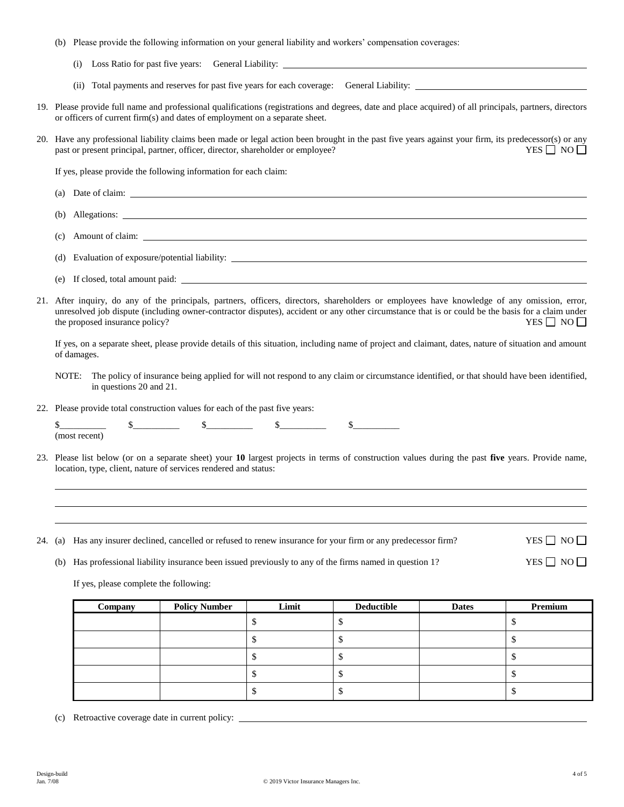- (b) Please provide the following information on your general liability and workers' compensation coverages:
	- (i) Loss Ratio for past five years: General Liability:
	- (ii) Total payments and reserves for past five years for each coverage: General Liability:
- 19. Please provide full name and professional qualifications (registrations and degrees, date and place acquired) of all principals, partners, directors or officers of current firm(s) and dates of employment on a separate sheet.
- 20. Have any professional liability claims been made or legal action been brought in the past five years against your firm, its predecessor(s) or any past or present principal, partner, officer, director, shareholder or employee? YES  $\Box$  NO  $\Box$

If yes, please provide the following information for each claim:

- (a) Date of claim:
- (b) Allegations:
- (c) Amount of claim:
- (d) Evaluation of exposure/potential liability:
- (e) If closed, total amount paid:
- 21. After inquiry, do any of the principals, partners, officers, directors, shareholders or employees have knowledge of any omission, error, unresolved job dispute (including owner-contractor disputes), accident or any other circumstance that is or could be the basis for a claim under the proposed insurance policy?  $YES \Box NO \Box$

If yes, on a separate sheet, please provide details of this situation, including name of project and claimant, dates, nature of situation and amount of damages.

- NOTE: The policy of insurance being applied for will not respond to any claim or circumstance identified, or that should have been identified, in questions 20 and 21.
- 22. Please provide total construction values for each of the past five years:

| a<br><b>ALC</b> |  | the contract of the contract of the contract of the contract of the contract of the contract of the contract of |
|-----------------|--|-----------------------------------------------------------------------------------------------------------------|
|                 |  |                                                                                                                 |

- 23. Please list below (or on a separate sheet) your **10** largest projects in terms of construction values during the past **five** years. Provide name, location, type, client, nature of services rendered and status:
- 24. (a) Has any insurer declined, cancelled or refused to renew insurance for your firm or any predecessor firm? YES  $\Box$  NO  $\Box$

(b) Has professional liability insurance been issued previously to any of the firms named in question 1? YES  $\Box$  NO  $\Box$ 

If yes, please complete the following:

| Company | <b>Policy Number</b> | Limit | <b>Deductible</b> | <b>Dates</b> | Premium |
|---------|----------------------|-------|-------------------|--------------|---------|
|         |                      |       |                   |              |         |
|         |                      |       |                   |              |         |
|         |                      |       |                   |              |         |
|         |                      |       |                   |              |         |
|         |                      |       |                   |              |         |

(c) Retroactive coverage date in current policy: